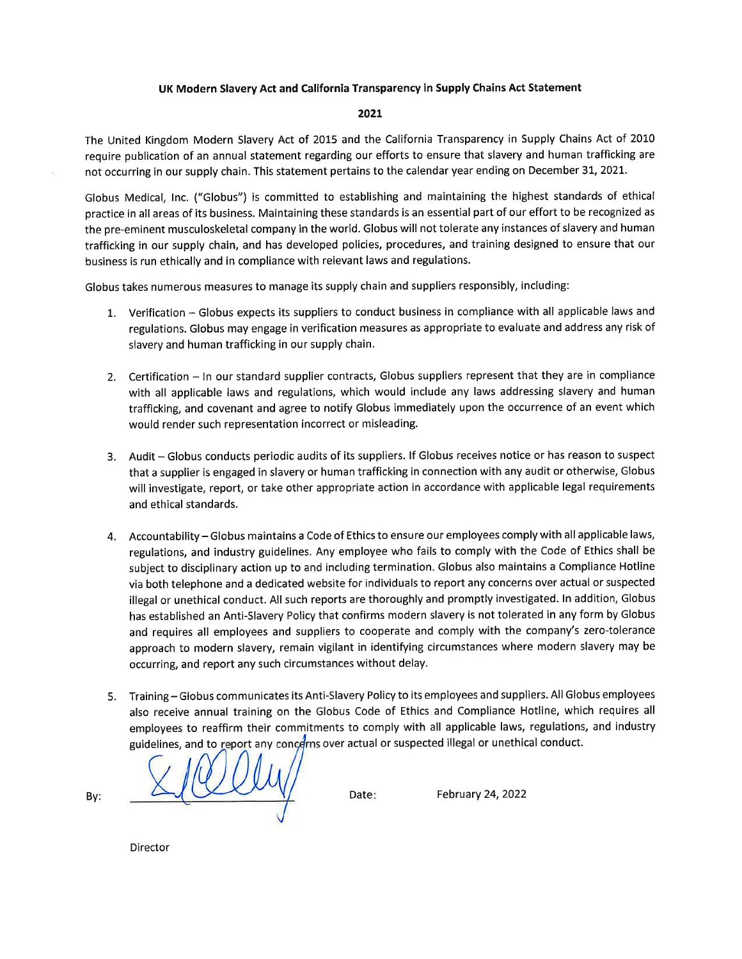### UK Modern Slavery Act and California Transparency in Supply Chains Act Statement

### 2021

The United Kingdom Modern Slavery Act of 2015 and the California Transparency in Supply Chains Act of 2010 require publication of an annual statement regarding our efforts to ensure that slavery and human trafficking are not occurring in our supply chain. This statement pertains to the calendar year ending on December 31, 2021.

Globus Medical, Inc. ("Globus") is committed to establishing and maintaining the highest standards of ethical practice in all areas of its business. Maintaining these standards is an essential part of our effort to be recognized as the pre-eminent musculoskeletal company in the world. Globus will not tolerate any instances of slavery and human trafficking in our supply chain, and has developed policies, procedures, and training designed to ensure that our business is run ethically and in compliance with relevant laws and regulations.

Globus takes numerous measures to manage its supply chain and suppliers responsibly, including:

- 1. Verification Globus expects its suppliers to conduct business in compliance with all applicable laws and regulations. Globus may engage in verification measures as appropriate to evaluate and address any risk of slavery and human trafficking in our supply chain.
- 2. Certification In our standard supplier contracts, Globus suppliers represent that they are in compliance with all applicable laws and regulations, which would include any laws addressing slavery and human trafficking, and covenant and agree to notify Globus immediately upon the occurrence of an event which would render such representation incorrect or misleading.
- 3. Audit Globus conducts periodic audits of its suppliers. If Globus receives notice or has reason to suspect that a supplier is engaged in slavery or human trafficking in connection with any audit or otherwise, Globus will investigate, report, or take other appropriate action in accordance with applicable legal requirements and ethical standards.
- 4. Accountability Globus maintains a Code of Ethics to ensure our employees comply with all applicable laws, regulations, and industry guidelines. Any employee who fails to comply with the Code of Ethics shall be subject to disciplinary action up to and including termination. Globus also maintains a Compliance Hotline via both telephone and a dedicated website for individuals to report any concerns over actual or suspected illegal or unethical conduct. All such reports are thoroughly and promptly investigated. In addition, Globus has established an Anti-Slavery Policy that confirms modern slavery is not tolerated in any form by Globus and requires all employees and suppliers to cooperate and comply with the company's zero-tolerance approach to modern slavery, remain vigilant in identifying circumstances where modern slavery may be occurring, and report any such circumstances without delay.
- 5. Training Globus communicates its Anti-Slavery Policy to its employees and suppliers. All Globus employees also receive annual training on the Globus Code of Ethics and Compliance Hotline, which requires all employees to reaffirm their commitments to comply with all applicable laws, regulations, and industry guidelines, and to report any concerns over actual or suspected illegal or unethical conduct.

Date:

February 24, 2022

By:

Director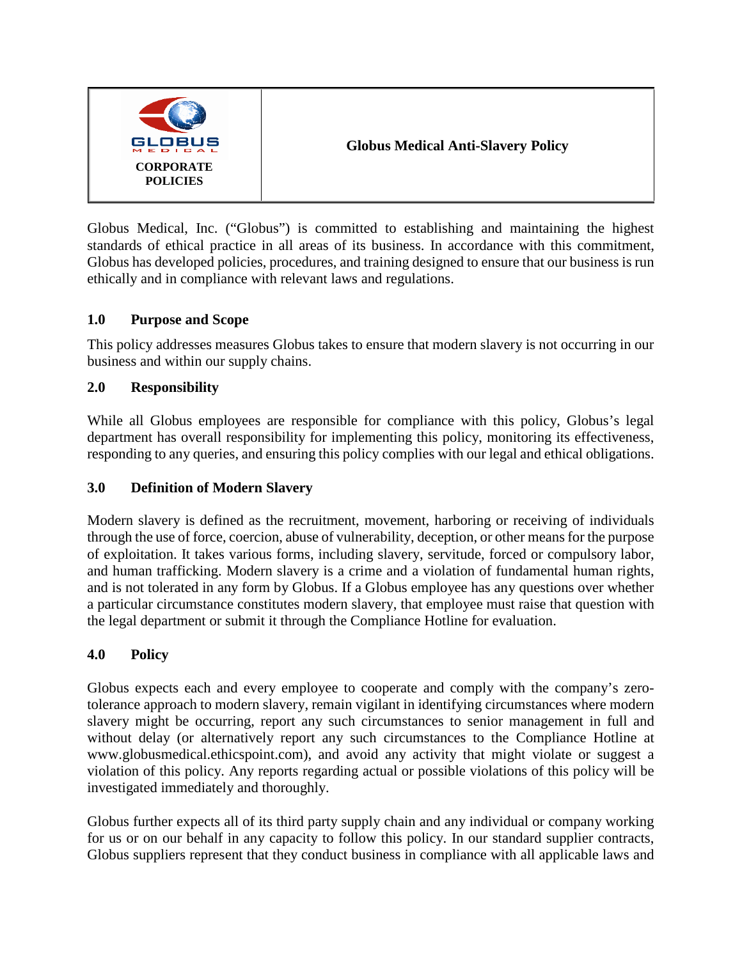

Globus Medical, Inc. ("Globus") is committed to establishing and maintaining the highest standards of ethical practice in all areas of its business. In accordance with this commitment, Globus has developed policies, procedures, and training designed to ensure that our business is run ethically and in compliance with relevant laws and regulations.

# **1.0 Purpose and Scope**

This policy addresses measures Globus takes to ensure that modern slavery is not occurring in our business and within our supply chains.

# **2.0 Responsibility**

While all Globus employees are responsible for compliance with this policy, Globus's legal department has overall responsibility for implementing this policy, monitoring its effectiveness, responding to any queries, and ensuring this policy complies with our legal and ethical obligations.

# **3.0 Definition of Modern Slavery**

Modern slavery is defined as the recruitment, movement, harboring or receiving of individuals through the use of force, coercion, abuse of vulnerability, deception, or other means for the purpose of exploitation. It takes various forms, including slavery, servitude, forced or compulsory labor, and human trafficking. Modern slavery is a crime and a violation of fundamental human rights, and is not tolerated in any form by Globus. If a Globus employee has any questions over whether a particular circumstance constitutes modern slavery, that employee must raise that question with the legal department or submit it through the Compliance Hotline for evaluation.

# **4.0 Policy**

Globus expects each and every employee to cooperate and comply with the company's zerotolerance approach to modern slavery, remain vigilant in identifying circumstances where modern slavery might be occurring, report any such circumstances to senior management in full and without delay (or alternatively report any such circumstances to the Compliance Hotline at www.globusmedical.ethicspoint.com), and avoid any activity that might violate or suggest a violation of this policy. Any reports regarding actual or possible violations of this policy will be investigated immediately and thoroughly.

Globus further expects all of its third party supply chain and any individual or company working for us or on our behalf in any capacity to follow this policy. In our standard supplier contracts, Globus suppliers represent that they conduct business in compliance with all applicable laws and